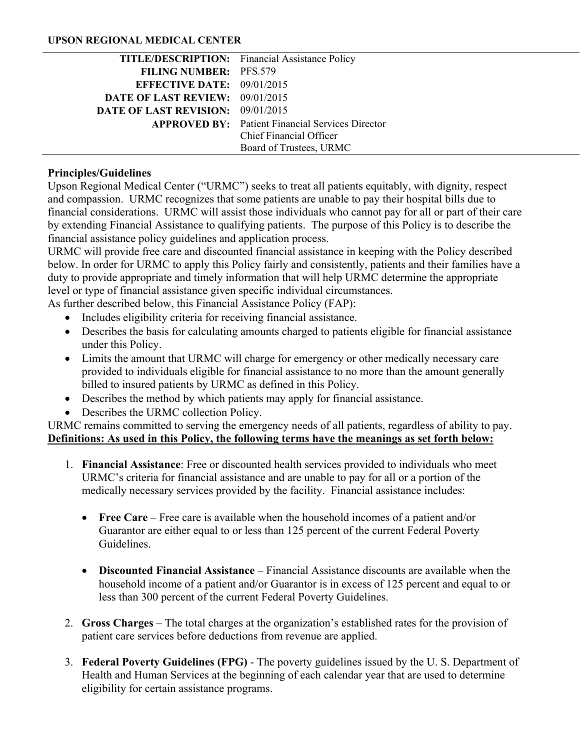#### **UPSON REGIONAL MEDICAL CENTER**

|                                   | <b>TITLE/DESCRIPTION:</b> Financial Assistance Policy   |
|-----------------------------------|---------------------------------------------------------|
| <b>FILING NUMBER: PFS.579</b>     |                                                         |
| EFFECTIVE DATE: $09/01/2015$      |                                                         |
| DATE OF LAST REVIEW: 09/01/2015   |                                                         |
| DATE OF LAST REVISION: 09/01/2015 |                                                         |
|                                   | <b>APPROVED BY:</b> Patient Financial Services Director |
|                                   | <b>Chief Financial Officer</b>                          |
|                                   | Board of Trustees, URMC                                 |

### **Principles/Guidelines**

Upson Regional Medical Center ("URMC") seeks to treat all patients equitably, with dignity, respect and compassion. URMC recognizes that some patients are unable to pay their hospital bills due to financial considerations. URMC will assist those individuals who cannot pay for all or part of their care by extending Financial Assistance to qualifying patients. The purpose of this Policy is to describe the financial assistance policy guidelines and application process.

URMC will provide free care and discounted financial assistance in keeping with the Policy described below. In order for URMC to apply this Policy fairly and consistently, patients and their families have a duty to provide appropriate and timely information that will help URMC determine the appropriate level or type of financial assistance given specific individual circumstances.

As further described below, this Financial Assistance Policy (FAP):

- Includes eligibility criteria for receiving financial assistance.
- Describes the basis for calculating amounts charged to patients eligible for financial assistance under this Policy.
- Limits the amount that URMC will charge for emergency or other medically necessary care provided to individuals eligible for financial assistance to no more than the amount generally billed to insured patients by URMC as defined in this Policy.
- Describes the method by which patients may apply for financial assistance.
- Describes the URMC collection Policy.

URMC remains committed to serving the emergency needs of all patients, regardless of ability to pay. **Definitions: As used in this Policy, the following terms have the meanings as set forth below:**

- 1. **Financial Assistance**: Free or discounted health services provided to individuals who meet URMC's criteria for financial assistance and are unable to pay for all or a portion of the medically necessary services provided by the facility. Financial assistance includes:
	- **Free Care** Free care is available when the household incomes of a patient and/or Guarantor are either equal to or less than 125 percent of the current Federal Poverty Guidelines.
	- **Discounted Financial Assistance** Financial Assistance discounts are available when the household income of a patient and/or Guarantor is in excess of 125 percent and equal to or less than 300 percent of the current Federal Poverty Guidelines.
- 2. **Gross Charges** The total charges at the organization's established rates for the provision of patient care services before deductions from revenue are applied.
- 3. **Federal Poverty Guidelines (FPG)** The poverty guidelines issued by the U. S. Department of Health and Human Services at the beginning of each calendar year that are used to determine eligibility for certain assistance programs.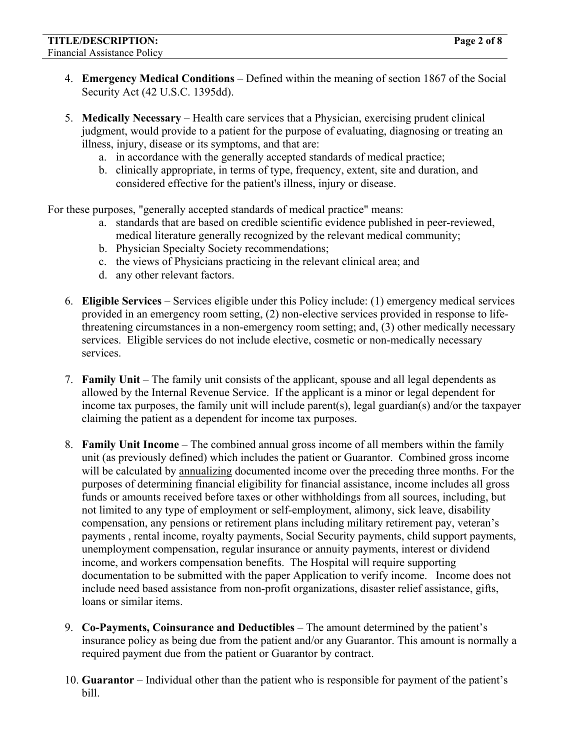- 4. **Emergency Medical Conditions** Defined within the meaning of section 1867 of the Social Security Act (42 U.S.C. 1395dd).
- 5. **Medically Necessary** Health care services that a Physician, exercising prudent clinical judgment, would provide to a patient for the purpose of evaluating, diagnosing or treating an illness, injury, disease or its symptoms, and that are:
	- a. in accordance with the generally accepted standards of medical practice;
	- b. clinically appropriate, in terms of type, frequency, extent, site and duration, and considered effective for the patient's illness, injury or disease.

For these purposes, "generally accepted standards of medical practice" means:

- a. standards that are based on credible scientific evidence published in peer-reviewed, medical literature generally recognized by the relevant medical community;
- b. Physician Specialty Society recommendations;
- c. the views of Physicians practicing in the relevant clinical area; and
- d. any other relevant factors.
- 6. **Eligible Services** Services eligible under this Policy include: (1) emergency medical services provided in an emergency room setting, (2) non-elective services provided in response to lifethreatening circumstances in a non-emergency room setting; and, (3) other medically necessary services. Eligible services do not include elective, cosmetic or non-medically necessary services.
- 7. **Family Unit**  The family unit consists of the applicant, spouse and all legal dependents as allowed by the Internal Revenue Service. If the applicant is a minor or legal dependent for income tax purposes, the family unit will include parent(s), legal guardian(s) and/or the taxpayer claiming the patient as a dependent for income tax purposes.
- 8. **Family Unit Income** The combined annual gross income of all members within the family unit (as previously defined) which includes the patient or Guarantor. Combined gross income will be calculated by annualizing documented income over the preceding three months. For the purposes of determining financial eligibility for financial assistance, income includes all gross funds or amounts received before taxes or other withholdings from all sources, including, but not limited to any type of employment or self-employment, alimony, sick leave, disability compensation, any pensions or retirement plans including military retirement pay, veteran's payments , rental income, royalty payments, Social Security payments, child support payments, unemployment compensation, regular insurance or annuity payments, interest or dividend income, and workers compensation benefits. The Hospital will require supporting documentation to be submitted with the paper Application to verify income. Income does not include need based assistance from non-profit organizations, disaster relief assistance, gifts, loans or similar items.
- 9. **Co-Payments, Coinsurance and Deductibles** The amount determined by the patient's insurance policy as being due from the patient and/or any Guarantor. This amount is normally a required payment due from the patient or Guarantor by contract.
- 10. **Guarantor** Individual other than the patient who is responsible for payment of the patient's bill.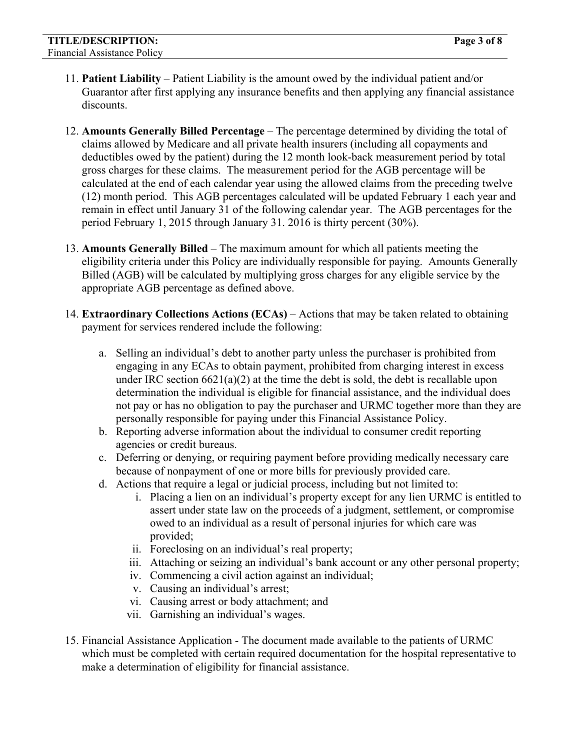- 11. **Patient Liability** Patient Liability is the amount owed by the individual patient and/or Guarantor after first applying any insurance benefits and then applying any financial assistance discounts.
- 12. **Amounts Generally Billed Percentage** The percentage determined by dividing the total of claims allowed by Medicare and all private health insurers (including all copayments and deductibles owed by the patient) during the 12 month look-back measurement period by total gross charges for these claims. The measurement period for the AGB percentage will be calculated at the end of each calendar year using the allowed claims from the preceding twelve (12) month period. This AGB percentages calculated will be updated February 1 each year and remain in effect until January 31 of the following calendar year. The AGB percentages for the period February 1, 2015 through January 31. 2016 is thirty percent (30%).
- 13. **Amounts Generally Billed** The maximum amount for which all patients meeting the eligibility criteria under this Policy are individually responsible for paying. Amounts Generally Billed (AGB) will be calculated by multiplying gross charges for any eligible service by the appropriate AGB percentage as defined above.
- 14. **Extraordinary Collections Actions (ECAs)**  Actions that may be taken related to obtaining payment for services rendered include the following:
	- a. Selling an individual's debt to another party unless the purchaser is prohibited from engaging in any ECAs to obtain payment, prohibited from charging interest in excess under IRC section 6621(a)(2) at the time the debt is sold, the debt is recallable upon determination the individual is eligible for financial assistance, and the individual does not pay or has no obligation to pay the purchaser and URMC together more than they are personally responsible for paying under this Financial Assistance Policy.
	- b. Reporting adverse information about the individual to consumer credit reporting agencies or credit bureaus.
	- c. Deferring or denying, or requiring payment before providing medically necessary care because of nonpayment of one or more bills for previously provided care.
	- d. Actions that require a legal or judicial process, including but not limited to:
		- i. Placing a lien on an individual's property except for any lien URMC is entitled to assert under state law on the proceeds of a judgment, settlement, or compromise owed to an individual as a result of personal injuries for which care was provided;
		- ii. Foreclosing on an individual's real property;
		- iii. Attaching or seizing an individual's bank account or any other personal property;
		- iv. Commencing a civil action against an individual;
		- v. Causing an individual's arrest;
		- vi. Causing arrest or body attachment; and
		- vii. Garnishing an individual's wages.
- 15. Financial Assistance Application The document made available to the patients of URMC which must be completed with certain required documentation for the hospital representative to make a determination of eligibility for financial assistance.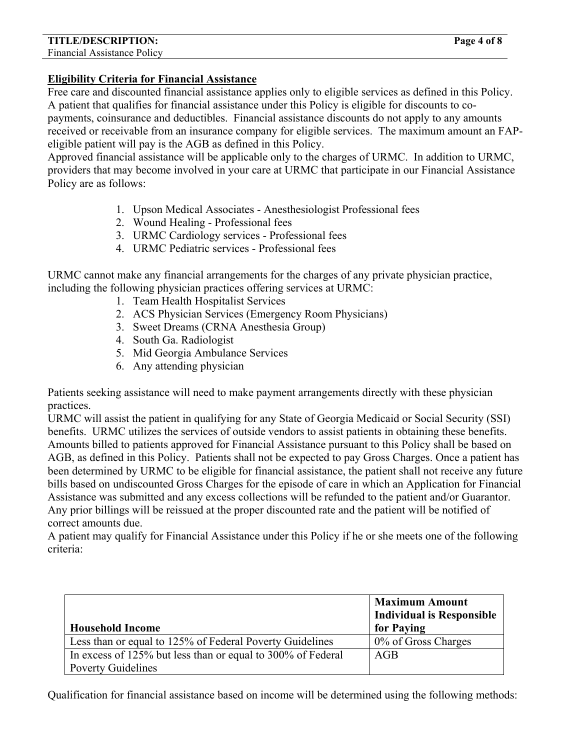# **Eligibility Criteria for Financial Assistance**

Free care and discounted financial assistance applies only to eligible services as defined in this Policy. A patient that qualifies for financial assistance under this Policy is eligible for discounts to copayments, coinsurance and deductibles. Financial assistance discounts do not apply to any amounts

received or receivable from an insurance company for eligible services. The maximum amount an FAPeligible patient will pay is the AGB as defined in this Policy.

Approved financial assistance will be applicable only to the charges of URMC. In addition to URMC, providers that may become involved in your care at URMC that participate in our Financial Assistance Policy are as follows:

- 1. Upson Medical Associates Anesthesiologist Professional fees
- 2. Wound Healing Professional fees
- 3. URMC Cardiology services Professional fees
- 4. URMC Pediatric services Professional fees

URMC cannot make any financial arrangements for the charges of any private physician practice, including the following physician practices offering services at URMC:

- 1. Team Health Hospitalist Services
- 2. ACS Physician Services (Emergency Room Physicians)
- 3. Sweet Dreams (CRNA Anesthesia Group)
- 4. South Ga. Radiologist
- 5. Mid Georgia Ambulance Services
- 6. Any attending physician

Patients seeking assistance will need to make payment arrangements directly with these physician practices.

URMC will assist the patient in qualifying for any State of Georgia Medicaid or Social Security (SSI) benefits. URMC utilizes the services of outside vendors to assist patients in obtaining these benefits. Amounts billed to patients approved for Financial Assistance pursuant to this Policy shall be based on AGB, as defined in this Policy. Patients shall not be expected to pay Gross Charges. Once a patient has been determined by URMC to be eligible for financial assistance, the patient shall not receive any future bills based on undiscounted Gross Charges for the episode of care in which an Application for Financial Assistance was submitted and any excess collections will be refunded to the patient and/or Guarantor. Any prior billings will be reissued at the proper discounted rate and the patient will be notified of correct amounts due.

A patient may qualify for Financial Assistance under this Policy if he or she meets one of the following criteria:

| <b>Household Income</b>                                     | <b>Maximum Amount</b><br><b>Individual is Responsible</b><br>for Paying |
|-------------------------------------------------------------|-------------------------------------------------------------------------|
| Less than or equal to 125% of Federal Poverty Guidelines    | 0% of Gross Charges                                                     |
| In excess of 125% but less than or equal to 300% of Federal | AGB                                                                     |
| <b>Poverty Guidelines</b>                                   |                                                                         |

Qualification for financial assistance based on income will be determined using the following methods: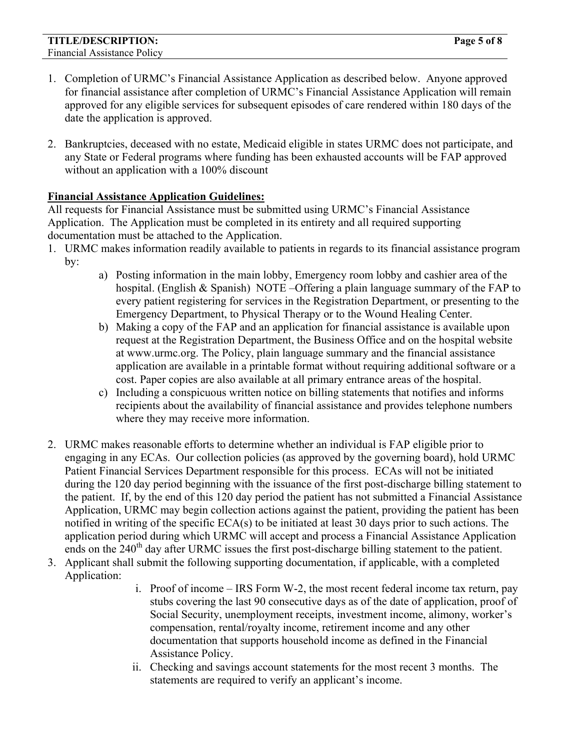- 1. Completion of URMC's Financial Assistance Application as described below. Anyone approved for financial assistance after completion of URMC's Financial Assistance Application will remain approved for any eligible services for subsequent episodes of care rendered within 180 days of the date the application is approved.
- 2. Bankruptcies, deceased with no estate, Medicaid eligible in states URMC does not participate, and any State or Federal programs where funding has been exhausted accounts will be FAP approved without an application with a 100% discount

# **Financial Assistance Application Guidelines:**

All requests for Financial Assistance must be submitted using URMC's Financial Assistance Application. The Application must be completed in its entirety and all required supporting documentation must be attached to the Application.

- 1. URMC makes information readily available to patients in regards to its financial assistance program by:
	- a) Posting information in the main lobby, Emergency room lobby and cashier area of the hospital. (English & Spanish) NOTE –Offering a plain language summary of the FAP to every patient registering for services in the Registration Department, or presenting to the Emergency Department, to Physical Therapy or to the Wound Healing Center.
	- b) Making a copy of the FAP and an application for financial assistance is available upon request at the Registration Department, the Business Office and on the hospital website at www.urmc.org. The Policy, plain language summary and the financial assistance application are available in a printable format without requiring additional software or a cost. Paper copies are also available at all primary entrance areas of the hospital.
	- c) Including a conspicuous written notice on billing statements that notifies and informs recipients about the availability of financial assistance and provides telephone numbers where they may receive more information.
- 2. URMC makes reasonable efforts to determine whether an individual is FAP eligible prior to engaging in any ECAs. Our collection policies (as approved by the governing board), hold URMC Patient Financial Services Department responsible for this process. ECAs will not be initiated during the 120 day period beginning with the issuance of the first post-discharge billing statement to the patient. If, by the end of this 120 day period the patient has not submitted a Financial Assistance Application, URMC may begin collection actions against the patient, providing the patient has been notified in writing of the specific ECA(s) to be initiated at least 30 days prior to such actions. The application period during which URMC will accept and process a Financial Assistance Application ends on the 240<sup>th</sup> day after URMC issues the first post-discharge billing statement to the patient.
- 3. Applicant shall submit the following supporting documentation, if applicable, with a completed Application:
	- i. Proof of income IRS Form W-2, the most recent federal income tax return, pay stubs covering the last 90 consecutive days as of the date of application, proof of Social Security, unemployment receipts, investment income, alimony, worker's compensation, rental/royalty income, retirement income and any other documentation that supports household income as defined in the Financial Assistance Policy.
	- ii. Checking and savings account statements for the most recent 3 months. The statements are required to verify an applicant's income.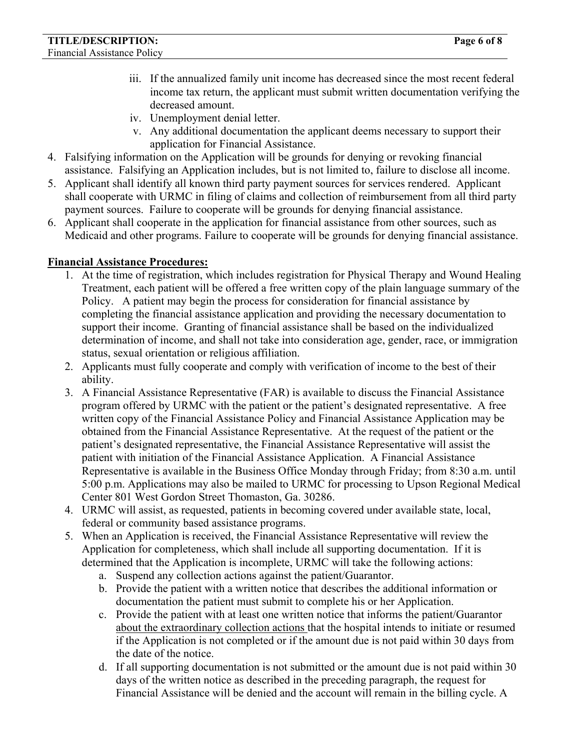- iii. If the annualized family unit income has decreased since the most recent federal income tax return, the applicant must submit written documentation verifying the decreased amount.
- iv. Unemployment denial letter.
- v. Any additional documentation the applicant deems necessary to support their application for Financial Assistance.
- 4. Falsifying information on the Application will be grounds for denying or revoking financial assistance. Falsifying an Application includes, but is not limited to, failure to disclose all income.
- 5. Applicant shall identify all known third party payment sources for services rendered. Applicant shall cooperate with URMC in filing of claims and collection of reimbursement from all third party payment sources. Failure to cooperate will be grounds for denying financial assistance.
- 6. Applicant shall cooperate in the application for financial assistance from other sources, such as Medicaid and other programs. Failure to cooperate will be grounds for denying financial assistance.

## **Financial Assistance Procedures:**

- 1. At the time of registration, which includes registration for Physical Therapy and Wound Healing Treatment, each patient will be offered a free written copy of the plain language summary of the Policy. A patient may begin the process for consideration for financial assistance by completing the financial assistance application and providing the necessary documentation to support their income. Granting of financial assistance shall be based on the individualized determination of income, and shall not take into consideration age, gender, race, or immigration status, sexual orientation or religious affiliation.
- 2. Applicants must fully cooperate and comply with verification of income to the best of their ability.
- 3. A Financial Assistance Representative (FAR) is available to discuss the Financial Assistance program offered by URMC with the patient or the patient's designated representative. A free written copy of the Financial Assistance Policy and Financial Assistance Application may be obtained from the Financial Assistance Representative. At the request of the patient or the patient's designated representative, the Financial Assistance Representative will assist the patient with initiation of the Financial Assistance Application. A Financial Assistance Representative is available in the Business Office Monday through Friday; from 8:30 a.m. until 5:00 p.m. Applications may also be mailed to URMC for processing to Upson Regional Medical Center 801 West Gordon Street Thomaston, Ga. 30286.
- 4. URMC will assist, as requested, patients in becoming covered under available state, local, federal or community based assistance programs.
- 5. When an Application is received, the Financial Assistance Representative will review the Application for completeness, which shall include all supporting documentation. If it is determined that the Application is incomplete, URMC will take the following actions:
	- a. Suspend any collection actions against the patient/Guarantor.
	- b. Provide the patient with a written notice that describes the additional information or documentation the patient must submit to complete his or her Application.
	- c. Provide the patient with at least one written notice that informs the patient/Guarantor about the extraordinary collection actions that the hospital intends to initiate or resumed if the Application is not completed or if the amount due is not paid within 30 days from the date of the notice.
	- d. If all supporting documentation is not submitted or the amount due is not paid within 30 days of the written notice as described in the preceding paragraph, the request for Financial Assistance will be denied and the account will remain in the billing cycle. A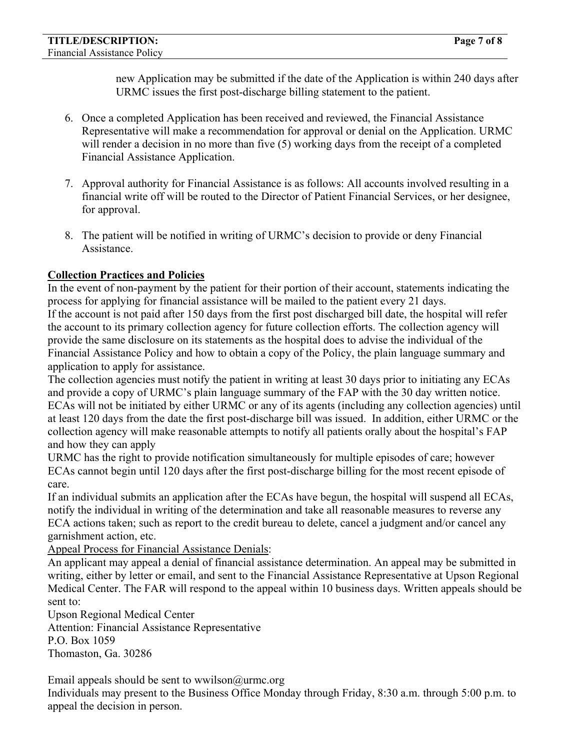new Application may be submitted if the date of the Application is within 240 days after URMC issues the first post-discharge billing statement to the patient.

- 6. Once a completed Application has been received and reviewed, the Financial Assistance Representative will make a recommendation for approval or denial on the Application. URMC will render a decision in no more than five (5) working days from the receipt of a completed Financial Assistance Application.
- 7. Approval authority for Financial Assistance is as follows: All accounts involved resulting in a financial write off will be routed to the Director of Patient Financial Services, or her designee, for approval.
- 8. The patient will be notified in writing of URMC's decision to provide or deny Financial Assistance.

# **Collection Practices and Policies**

In the event of non-payment by the patient for their portion of their account, statements indicating the process for applying for financial assistance will be mailed to the patient every 21 days. If the account is not paid after 150 days from the first post discharged bill date, the hospital will refer the account to its primary collection agency for future collection efforts. The collection agency will provide the same disclosure on its statements as the hospital does to advise the individual of the Financial Assistance Policy and how to obtain a copy of the Policy, the plain language summary and application to apply for assistance.

The collection agencies must notify the patient in writing at least 30 days prior to initiating any ECAs and provide a copy of URMC's plain language summary of the FAP with the 30 day written notice. ECAs will not be initiated by either URMC or any of its agents (including any collection agencies) until at least 120 days from the date the first post-discharge bill was issued. In addition, either URMC or the collection agency will make reasonable attempts to notify all patients orally about the hospital's FAP and how they can apply

URMC has the right to provide notification simultaneously for multiple episodes of care; however ECAs cannot begin until 120 days after the first post-discharge billing for the most recent episode of care.

If an individual submits an application after the ECAs have begun, the hospital will suspend all ECAs, notify the individual in writing of the determination and take all reasonable measures to reverse any ECA actions taken; such as report to the credit bureau to delete, cancel a judgment and/or cancel any garnishment action, etc.

Appeal Process for Financial Assistance Denials:

An applicant may appeal a denial of financial assistance determination. An appeal may be submitted in writing, either by letter or email, and sent to the Financial Assistance Representative at Upson Regional Medical Center. The FAR will respond to the appeal within 10 business days. Written appeals should be sent to:

Upson Regional Medical Center

Attention: Financial Assistance Representative P.O. Box 1059 Thomaston, Ga. 30286

Email appeals should be sent to wwilson@urmc.org

Individuals may present to the Business Office Monday through Friday, 8:30 a.m. through 5:00 p.m. to appeal the decision in person.